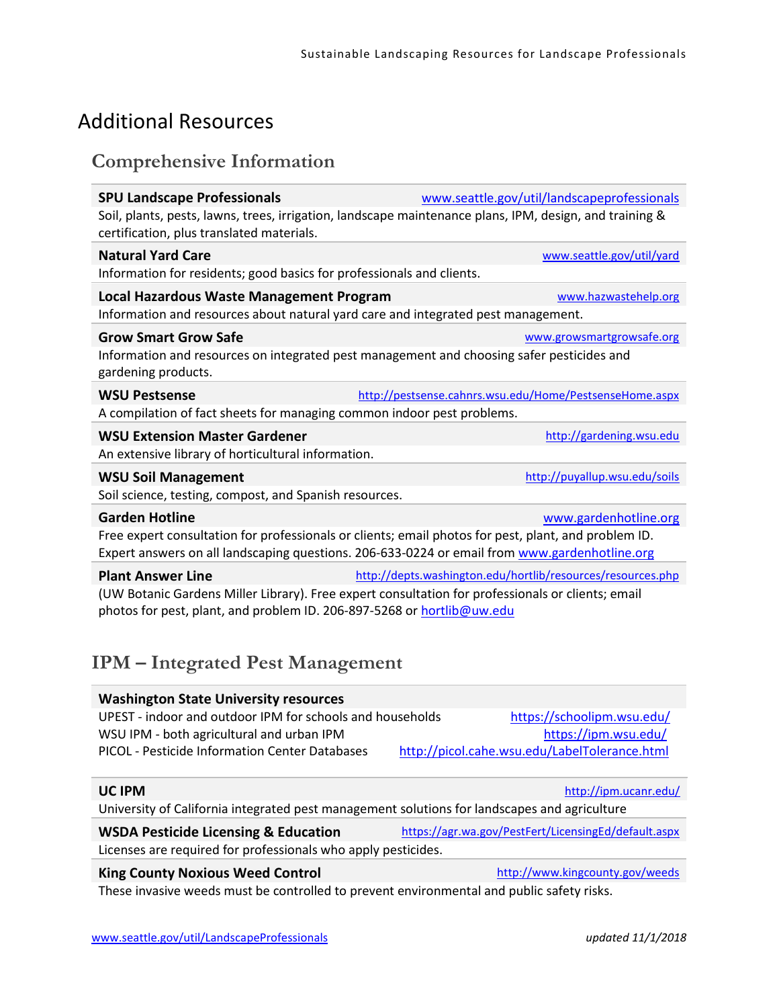# Additional Resources

#### **Comprehensive Information**

| <b>SPU Landscape Professionals</b>                                                | www.seattle.gov/util/landscapeprofessionals                                                             |
|-----------------------------------------------------------------------------------|---------------------------------------------------------------------------------------------------------|
| certification, plus translated materials.                                         | Soil, plants, pests, lawns, trees, irrigation, landscape maintenance plans, IPM, design, and training & |
| <b>Natural Yard Care</b>                                                          | www.seattle.gov/util/yard                                                                               |
| Information for residents; good basics for professionals and clients.             |                                                                                                         |
| Local Hazardous Waste Management Program                                          | www.hazwastehelp.org                                                                                    |
| Information and resources about natural yard care and integrated pest management. |                                                                                                         |
| <b>Grow Smart Grow Safe</b>                                                       | www.growsmartgrowsafe.org                                                                               |
| gardening products.                                                               | Information and resources on integrated pest management and choosing safer pesticides and               |
| <b>WSU Pestsense</b>                                                              | http://pestsense.cahnrs.wsu.edu/Home/PestsenseHome.aspx                                                 |
| A compilation of fact sheets for managing common indoor pest problems.            |                                                                                                         |
| <b>WSU Extension Master Gardener</b>                                              | http://gardening.wsu.edu                                                                                |
| An extensive library of horticultural information.                                |                                                                                                         |
| <b>WSU Soil Management</b>                                                        | http://puyallup.wsu.edu/soils                                                                           |
| Soil science, testing, compost, and Spanish resources.                            |                                                                                                         |
| <b>Garden Hotline</b>                                                             | www.gardenhotline.org                                                                                   |
|                                                                                   | Free expert consultation for professionals or clients; email photos for pest, plant, and problem ID.    |
|                                                                                   | Expert answers on all landscaping questions. 206-633-0224 or email from www.gardenhotline.org           |
| <b>Plant Answer Line</b>                                                          | http://depts.washington.edu/hortlib/resources/resources.php                                             |
| photos for pest, plant, and problem ID. 206-897-5268 or hortlib@uw.edu            | (UW Botanic Gardens Miller Library). Free expert consultation for professionals or clients; email       |

### **IPM – Integrated Pest Management**

| <b>Washington State University resources</b>              |                                               |
|-----------------------------------------------------------|-----------------------------------------------|
| UPEST - indoor and outdoor IPM for schools and households | https://schoolipm.wsu.edu/                    |
| WSU IPM - both agricultural and urban IPM                 | https://ipm.wsu.edu/                          |
| PICOL - Pesticide Information Center Databases            | http://picol.cahe.wsu.edu/LabelTolerance.html |
|                                                           |                                               |

#### **UC IPM** <http://ipm.ucanr.edu/>

University of California integrated pest management solutions for landscapes and agriculture

#### WSDA Pesticide Licensing & Education <https://agr.wa.gov/PestFert/LicensingEd/default.aspx> Licenses are required for professionals who apply pesticides.

#### King County Noxious Weed Control <http://www.kingcounty.gov/weeds>

These invasive weeds must be controlled to prevent environmental and public safety risks.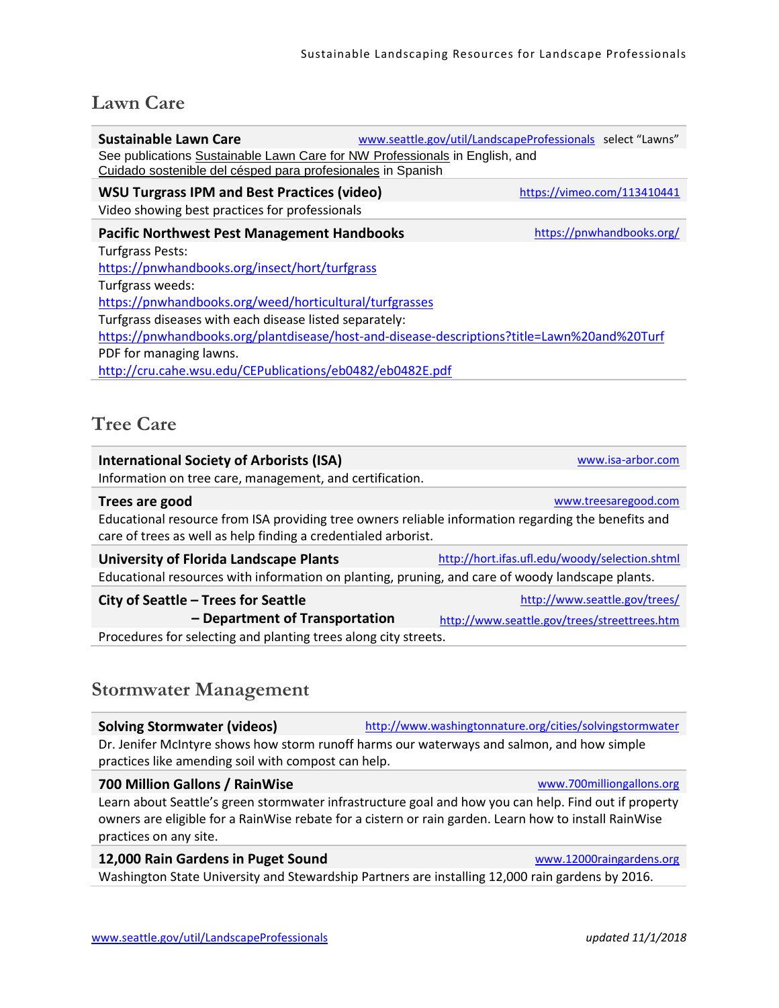# **Lawn Care**

| <b>Sustainable Lawn Care</b>                                                                                                               |  | www.seattle.gov/util/LandscapeProfessionals select "Lawns" |  |
|--------------------------------------------------------------------------------------------------------------------------------------------|--|------------------------------------------------------------|--|
| See publications Sustainable Lawn Care for NW Professionals in English, and<br>Cuidado sostenible del césped para profesionales in Spanish |  |                                                            |  |
| <b>WSU Turgrass IPM and Best Practices (video)</b>                                                                                         |  | https://vimeo.com/113410441                                |  |
| Video showing best practices for professionals                                                                                             |  |                                                            |  |
| <b>Pacific Northwest Pest Management Handbooks</b>                                                                                         |  | https://pnwhandbooks.org/                                  |  |
| Turfgrass Pests:                                                                                                                           |  |                                                            |  |
| https://pnwhandbooks.org/insect/hort/turfgrass                                                                                             |  |                                                            |  |
| Turfgrass weeds:                                                                                                                           |  |                                                            |  |
| https://pnwhandbooks.org/weed/horticultural/turfgrasses                                                                                    |  |                                                            |  |
| Turfgrass diseases with each disease listed separately:                                                                                    |  |                                                            |  |
| https://pnwhandbooks.org/plantdisease/host-and-disease-descriptions?title=Lawn%20and%20Turf                                                |  |                                                            |  |
| PDF for managing lawns.                                                                                                                    |  |                                                            |  |
| http://cru.cahe.wsu.edu/CEPublications/eb0482/eb0482E.pdf                                                                                  |  |                                                            |  |
|                                                                                                                                            |  |                                                            |  |

## **Tree Care**

| <b>International Society of Arborists (ISA)</b>                                                                                                                       | www.isa-arbor.com                              |  |
|-----------------------------------------------------------------------------------------------------------------------------------------------------------------------|------------------------------------------------|--|
| Information on tree care, management, and certification.                                                                                                              |                                                |  |
| Trees are good                                                                                                                                                        | www.treesaregood.com                           |  |
| Educational resource from ISA providing tree owners reliable information regarding the benefits and<br>care of trees as well as help finding a credentialed arborist. |                                                |  |
| <b>University of Florida Landscape Plants</b>                                                                                                                         | http://hort.ifas.ufl.edu/woody/selection.shtml |  |
| Educational resources with information on planting, pruning, and care of woody landscape plants.                                                                      |                                                |  |
| City of Seattle - Trees for Seattle                                                                                                                                   | http://www.seattle.gov/trees/                  |  |
| - Department of Transportation                                                                                                                                        | http://www.seattle.gov/trees/streettrees.htm   |  |
| Procedures for selecting and planting trees along city streets.                                                                                                       |                                                |  |
|                                                                                                                                                                       |                                                |  |

# **Stormwater Management**

| <b>Solving Stormwater (videos)</b>                                                                                                                                                                                                       | http://www.washingtonnature.org/cities/solvingstormwater                                         |  |
|------------------------------------------------------------------------------------------------------------------------------------------------------------------------------------------------------------------------------------------|--------------------------------------------------------------------------------------------------|--|
| Dr. Jenifer McIntyre shows how storm runoff harms our waterways and salmon, and how simple<br>practices like amending soil with compost can help.                                                                                        |                                                                                                  |  |
| 700 Million Gallons / RainWise                                                                                                                                                                                                           | www.700milliongallons.org                                                                        |  |
| Learn about Seattle's green stormwater infrastructure goal and how you can help. Find out if property<br>owners are eligible for a RainWise rebate for a cistern or rain garden. Learn how to install RainWise<br>practices on any site. |                                                                                                  |  |
| 12,000 Rain Gardens in Puget Sound                                                                                                                                                                                                       | www.12000raingardens.org                                                                         |  |
|                                                                                                                                                                                                                                          | Washington State University and Stewardship Partners are installing 12,000 rain gardens by 2016. |  |